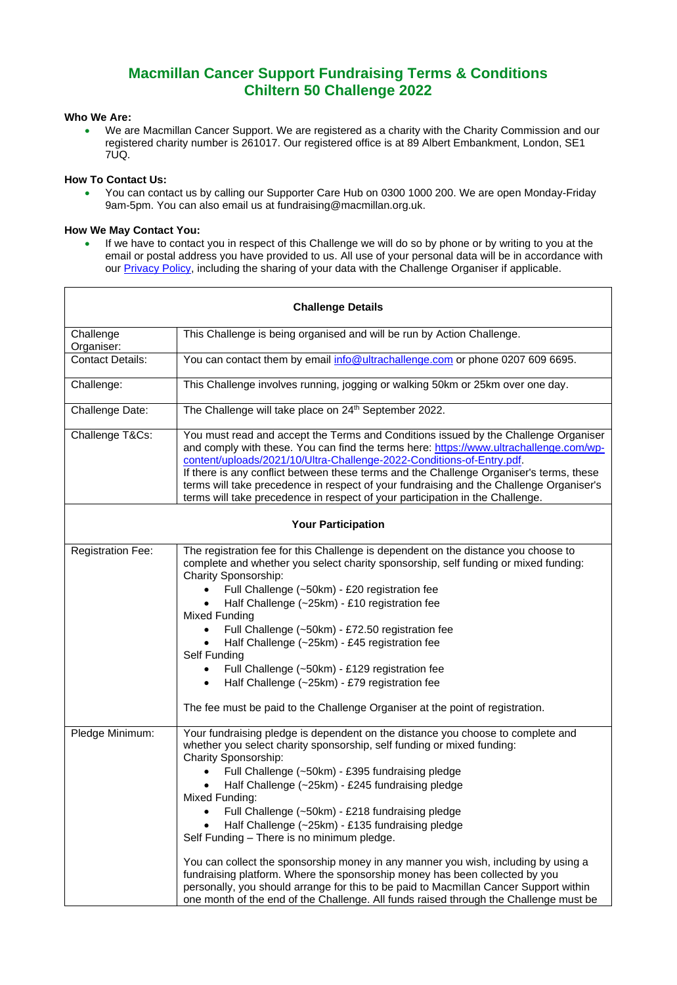# **Macmillan Cancer Support Fundraising Terms & Conditions Chiltern 50 Challenge 2022**

### **Who We Are:**

• We are Macmillan Cancer Support. We are registered as a charity with the Charity Commission and our registered charity number is 261017. Our registered office is at 89 Albert Embankment, London, SE1 7UQ.

#### **How To Contact Us:**

• You can contact us by calling our Supporter Care Hub on 0300 1000 200. We are open Monday-Friday 9am-5pm. You can also email us at fundraising@macmillan.org.uk.

# **How We May Contact You:**

If we have to contact you in respect of this Challenge we will do so by phone or by writing to you at the email or postal address you have provided to us. All use of your personal data will be in accordance with our **Privacy Policy**, including the sharing of your data with the Challenge Organiser if applicable.

| <b>Challenge Details</b>  |                                                                                                                                                                                                                                                                                                                                                                                                                                                                                                                                                                                                                                                                                                                                                                                                                          |
|---------------------------|--------------------------------------------------------------------------------------------------------------------------------------------------------------------------------------------------------------------------------------------------------------------------------------------------------------------------------------------------------------------------------------------------------------------------------------------------------------------------------------------------------------------------------------------------------------------------------------------------------------------------------------------------------------------------------------------------------------------------------------------------------------------------------------------------------------------------|
| Challenge<br>Organiser:   | This Challenge is being organised and will be run by Action Challenge.                                                                                                                                                                                                                                                                                                                                                                                                                                                                                                                                                                                                                                                                                                                                                   |
| <b>Contact Details:</b>   | You can contact them by email info@ultrachallenge.com or phone 0207 609 6695.                                                                                                                                                                                                                                                                                                                                                                                                                                                                                                                                                                                                                                                                                                                                            |
| Challenge:                | This Challenge involves running, jogging or walking 50km or 25km over one day.                                                                                                                                                                                                                                                                                                                                                                                                                                                                                                                                                                                                                                                                                                                                           |
| Challenge Date:           | The Challenge will take place on 24 <sup>th</sup> September 2022.                                                                                                                                                                                                                                                                                                                                                                                                                                                                                                                                                                                                                                                                                                                                                        |
| Challenge T&Cs:           | You must read and accept the Terms and Conditions issued by the Challenge Organiser<br>and comply with these. You can find the terms here: https://www.ultrachallenge.com/wp-<br>content/uploads/2021/10/Ultra-Challenge-2022-Conditions-of-Entry.pdf.<br>If there is any conflict between these terms and the Challenge Organiser's terms, these<br>terms will take precedence in respect of your fundraising and the Challenge Organiser's<br>terms will take precedence in respect of your participation in the Challenge.                                                                                                                                                                                                                                                                                            |
| <b>Your Participation</b> |                                                                                                                                                                                                                                                                                                                                                                                                                                                                                                                                                                                                                                                                                                                                                                                                                          |
| Registration Fee:         | The registration fee for this Challenge is dependent on the distance you choose to<br>complete and whether you select charity sponsorship, self funding or mixed funding:<br>Charity Sponsorship:<br>Full Challenge (~50km) - £20 registration fee<br>Half Challenge (~25km) - £10 registration fee<br><b>Mixed Funding</b><br>Full Challenge (~50km) - £72.50 registration fee<br>Half Challenge (~25km) - £45 registration fee<br>Self Funding<br>Full Challenge (~50km) - £129 registration fee<br>Half Challenge (~25km) - £79 registration fee<br>The fee must be paid to the Challenge Organiser at the point of registration.                                                                                                                                                                                     |
| Pledge Minimum:           | Your fundraising pledge is dependent on the distance you choose to complete and<br>whether you select charity sponsorship, self funding or mixed funding:<br>Charity Sponsorship:<br>Full Challenge (~50km) - £395 fundraising pledge<br>Half Challenge (~25km) - £245 fundraising pledge<br>Mixed Funding:<br>Full Challenge (~50km) - £218 fundraising pledge<br>Half Challenge (~25km) - £135 fundraising pledge<br>Self Funding - There is no minimum pledge.<br>You can collect the sponsorship money in any manner you wish, including by using a<br>fundraising platform. Where the sponsorship money has been collected by you<br>personally, you should arrange for this to be paid to Macmillan Cancer Support within<br>one month of the end of the Challenge. All funds raised through the Challenge must be |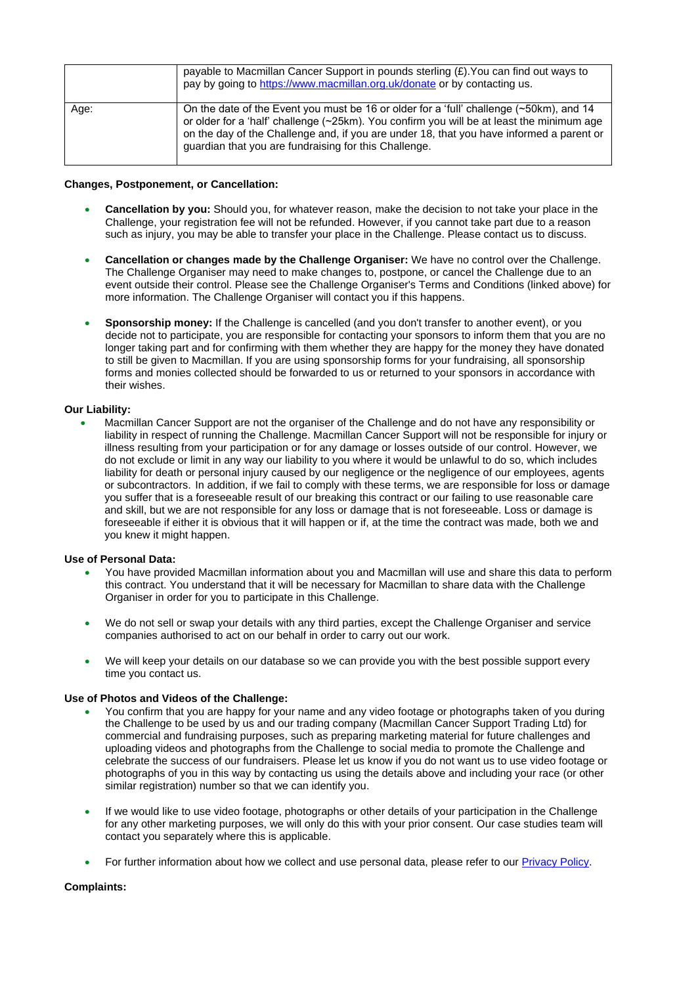|      | payable to Macmillan Cancer Support in pounds sterling $(E)$ . You can find out ways to<br>pay by going to https://www.macmillan.org.uk/donate or by contacting us.                                                                                                                                                                          |
|------|----------------------------------------------------------------------------------------------------------------------------------------------------------------------------------------------------------------------------------------------------------------------------------------------------------------------------------------------|
| Age: | On the date of the Event you must be 16 or older for a 'full' challenge $($ ~50km), and 14<br>or older for a 'half' challenge (~25km). You confirm you will be at least the minimum age<br>on the day of the Challenge and, if you are under 18, that you have informed a parent or<br>guardian that you are fundraising for this Challenge. |

#### **Changes, Postponement, or Cancellation:**

- **Cancellation by you:** Should you, for whatever reason, make the decision to not take your place in the Challenge, your registration fee will not be refunded. However, if you cannot take part due to a reason such as injury, you may be able to transfer your place in the Challenge. Please contact us to discuss.
- **Cancellation or changes made by the Challenge Organiser:** We have no control over the Challenge. The Challenge Organiser may need to make changes to, postpone, or cancel the Challenge due to an event outside their control. Please see the Challenge Organiser's Terms and Conditions (linked above) for more information. The Challenge Organiser will contact you if this happens.
- **Sponsorship money:** If the Challenge is cancelled (and you don't transfer to another event), or you decide not to participate, you are responsible for contacting your sponsors to inform them that you are no longer taking part and for confirming with them whether they are happy for the money they have donated to still be given to Macmillan. If you are using sponsorship forms for your fundraising, all sponsorship forms and monies collected should be forwarded to us or returned to your sponsors in accordance with their wishes.

#### **Our Liability:**

• Macmillan Cancer Support are not the organiser of the Challenge and do not have any responsibility or liability in respect of running the Challenge. Macmillan Cancer Support will not be responsible for injury or illness resulting from your participation or for any damage or losses outside of our control. However, we do not exclude or limit in any way our liability to you where it would be unlawful to do so, which includes liability for death or personal injury caused by our negligence or the negligence of our employees, agents or subcontractors. In addition, if we fail to comply with these terms, we are responsible for loss or damage you suffer that is a foreseeable result of our breaking this contract or our failing to use reasonable care and skill, but we are not responsible for any loss or damage that is not foreseeable. Loss or damage is foreseeable if either it is obvious that it will happen or if, at the time the contract was made, both we and you knew it might happen.

#### **Use of Personal Data:**

- You have provided Macmillan information about you and Macmillan will use and share this data to perform this contract. You understand that it will be necessary for Macmillan to share data with the Challenge Organiser in order for you to participate in this Challenge.
- We do not sell or swap your details with any third parties, except the Challenge Organiser and service companies authorised to act on our behalf in order to carry out our work.
- We will keep your details on our database so we can provide you with the best possible support every time you contact us.

#### **Use of Photos and Videos of the Challenge:**

- You confirm that you are happy for your name and any video footage or photographs taken of you during the Challenge to be used by us and our trading company (Macmillan Cancer Support Trading Ltd) for commercial and fundraising purposes, such as preparing marketing material for future challenges and uploading videos and photographs from the Challenge to social media to promote the Challenge and celebrate the success of our fundraisers. Please let us know if you do not want us to use video footage or photographs of you in this way by contacting us using the details above and including your race (or other similar registration) number so that we can identify you.
- If we would like to use video footage, photographs or other details of your participation in the Challenge for any other marketing purposes, we will only do this with your prior consent. Our case studies team will contact you separately where this is applicable.
- For further information about how we collect and use personal data, please refer to our **Privacy Policy**.

#### **Complaints:**